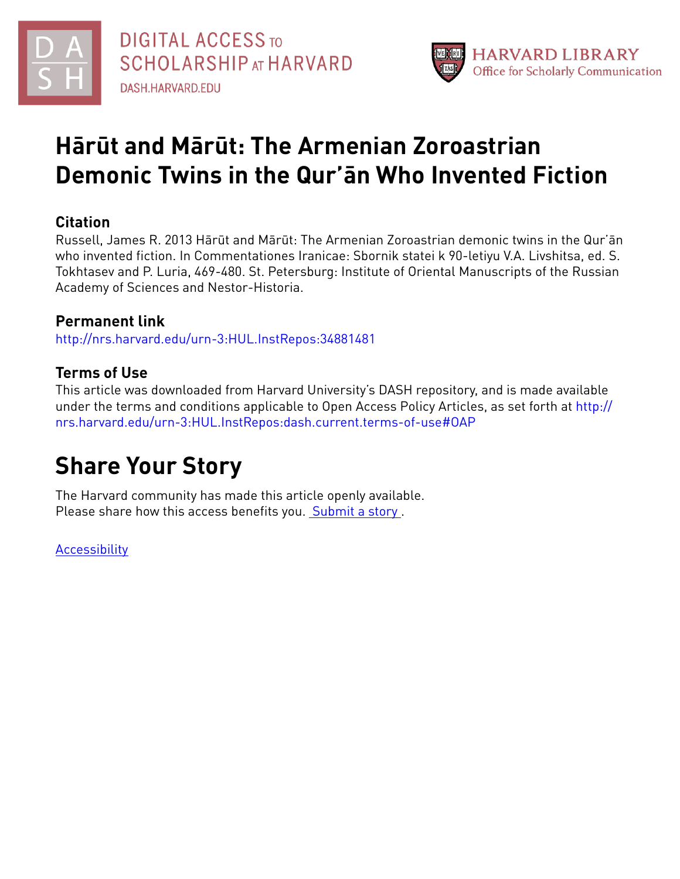



## **Hārūt and Mārūt: The Armenian Zoroastrian Demonic Twins in the Qur'ān Who Invented Fiction**

#### **Citation**

Russell, James R. 2013 Hārūt and Mārūt: The Armenian Zoroastrian demonic twins in the Qur'ān who invented fiction. In Commentationes Iranicae: Sbornik statei k 90-letiyu V.A. Livshitsa, ed. S. Tokhtasev and P. Luria, 469-480. St. Petersburg: Institute of Oriental Manuscripts of the Russian Academy of Sciences and Nestor-Historia.

#### **Permanent link**

<http://nrs.harvard.edu/urn-3:HUL.InstRepos:34881481>

### **Terms of Use**

This article was downloaded from Harvard University's DASH repository, and is made available under the terms and conditions applicable to Open Access Policy Articles, as set forth at [http://](http://nrs.harvard.edu/urn-3:HUL.InstRepos:dash.current.terms-of-use#OAP) [nrs.harvard.edu/urn-3:HUL.InstRepos:dash.current.terms-of-use#OAP](http://nrs.harvard.edu/urn-3:HUL.InstRepos:dash.current.terms-of-use#OAP)

# **Share Your Story**

The Harvard community has made this article openly available. Please share how this access benefits you. [Submit](http://osc.hul.harvard.edu/dash/open-access-feedback?handle=&title=H%C4%81r%C5%ABt%20and%20M%C4%81r%C5%ABt:%20The%20Armenian%20Zoroastrian%20Demonic%20Twins%20in%20the%20Qur%E2%80%99%C4%81n%20Who%20Invented%20Fiction&community=1/1&collection=1/2&owningCollection1/2&harvardAuthors=e52dbe48d0922932f9aca2dde1aa5d5d&departmentNear%20Eastern%20Languages%20and%20Civilizations) a story.

[Accessibility](https://dash.harvard.edu/pages/accessibility)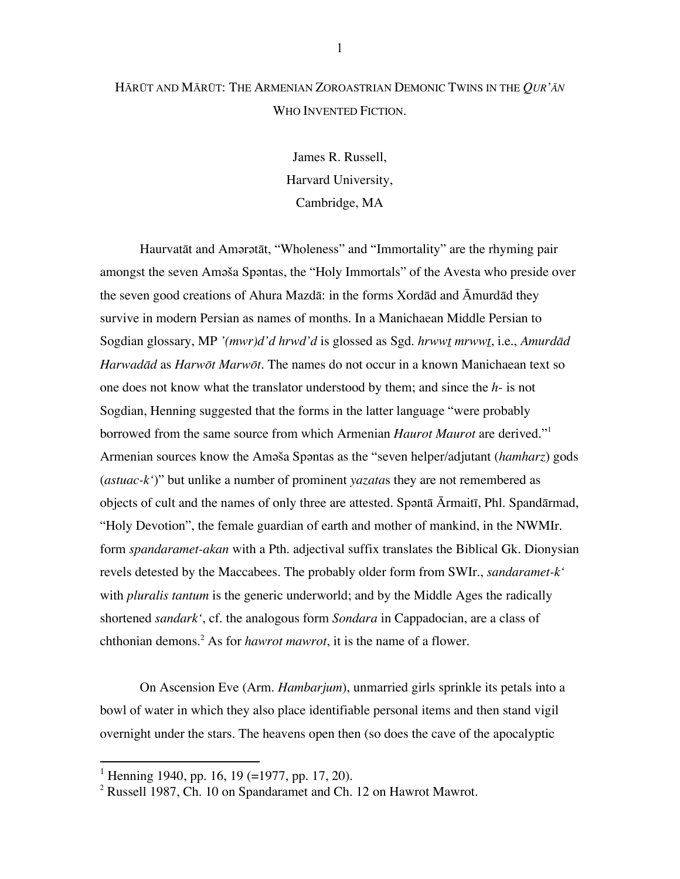#### HĀRŪT AND MĀRŪT: THE ARMENIAN ZOROASTRIAN DEMONIC TWINS IN THE *QUR'ĀN* WHO INVENTED FICTION.

James R. Russell, Harvard University, Cambridge, MA

Haurvatāt and Amərətāt, "Wholeness" and "Immortality" are the rhyming pair amongst the seven Amǝša Spǝntas, the "Holy Immortals" of the Avesta who preside over the seven good creations of Ahura Mazdā: in the forms Xordād and Āmurdād they survive in modern Persian as names of months. In a Manichaean Middle Persian to Sogdian glossary, MP *'(mwr)d'd hrwd'd* is glossed as Sgd. *hrwwṯ mrwwṯ*, i.e., *Amurdād Harwadād* as *Harwōt Marwōt*. The names do not occur in a known Manichaean text so one does not know what the translator understood by them; and since the *h*- is not Sogdian, Henning suggested that the forms in the latter language "were probably borrowed from the same source from which Armenian *Haurot Maurot* are derived."<sup>1</sup> Armenian sources know the Amǝša Spǝntas as the "seven helper/adjutant (*hamharz*) gods (*astuac-k'*)" but unlike a number of prominent *yazata*s they are not remembered as objects of cult and the names of only three are attested. Spǝntā Ārmaitī, Phl. Spandārmad, "Holy Devotion", the female guardian of earth and mother of mankind, in the NWMIr. form *spandaramet-akan* with a Pth. adjectival suffix translates the Biblical Gk. Dionysian revels detested by the Maccabees. The probably older form from SWIr., *sandaramet-k'* with *pluralis tantum* is the generic underworld; and by the Middle Ages the radically shortened *sandark'*, cf. the analogous form *Sondara* in Cappadocian, are a class of chthonian demons. 2 As for *hawrot mawrot*, it is the name of a flower.

On Ascension Eve (Arm. *Hambarjum*), unmarried girls sprinkle its petals into a bowl of water in which they also place identifiable personal items and then stand vigil overnight under the stars. The heavens open then (so does the cave of the apocalyptic

<sup>&</sup>lt;sup>1</sup> Henning 1940, pp. 16, 19 (=1977, pp. 17, 20).

 $2$  Russell 1987, Ch. 10 on Spandaramet and Ch. 12 on Hawrot Mawrot.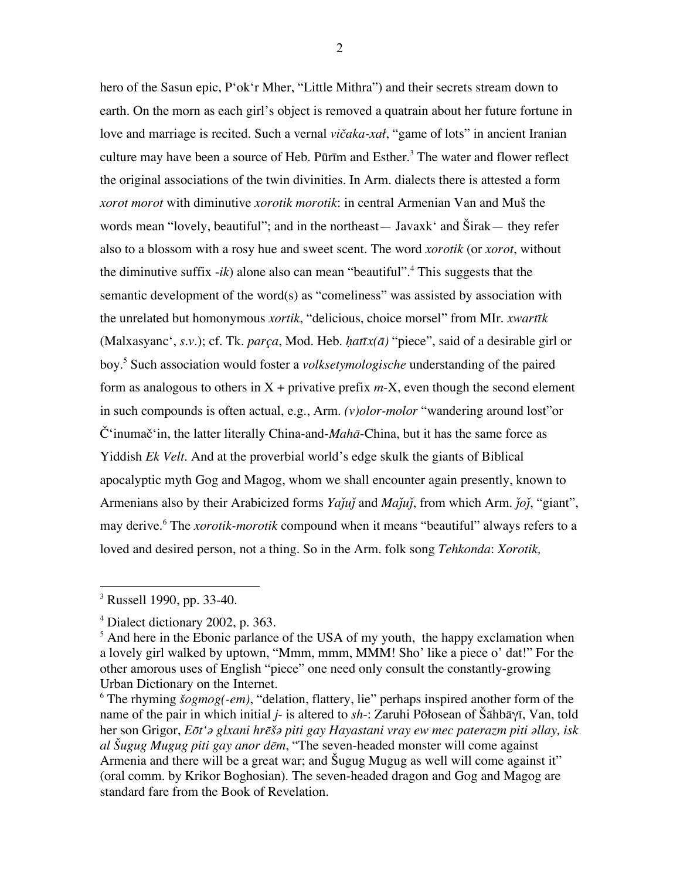hero of the Sasun epic, P'ok'r Mher, "Little Mithra") and their secrets stream down to earth. On the morn as each girl's object is removed a quatrain about her future fortune in love and marriage is recited. Such a vernal *vičaka-xał*, "game of lots" in ancient Iranian culture may have been a source of Heb. Pūrīm and Esther. 3 The water and flower reflect the original associations of the twin divinities. In Arm. dialects there is attested a form *xorot morot* with diminutive *xorotik morotik*: in central Armenian Van and Muš the words mean "lovely, beautiful"; and in the northeast— Javaxk' and Širak— they refer also to a blossom with a rosy hue and sweet scent. The word *xorotik* (or *xorot*, without the diminutive suffix -*ik*) alone also can mean "beautiful". 4 This suggests that the semantic development of the word(s) as "comeliness" was assisted by association with the unrelated but homonymous *xortik*, "delicious, choice morsel" from MIr. *xwartīk* (Malxasyanc', *s.v*.); cf. Tk. *parça*, Mod. Heb. *ḥatīx(ā)* "piece", said of a desirable girl or boy.<sup>5</sup> Such association would foster a *volksetymologische* understanding of the paired form as analogous to others in  $X +$  privative prefix  $m-X$ , even though the second element in such compounds is often actual, e.g., Arm. *(v)olor-molor* "wandering around lost"or Č'inumač'in, the latter literally China-and-*Mahā*-China, but it has the same force as Yiddish *Ek Velt*. And at the proverbial world's edge skulk the giants of Biblical apocalyptic myth Gog and Magog, whom we shall encounter again presently, known to Armenians also by their Arabicized forms *Yaju*<sup> $\gamma$ </sup> and *Maju*<sup> $\gamma$ </sup>, from which Arm. *jo*<sup> $\gamma$ </sup>, "giant", may derive. 6 The *xorotik-morotik* compound when it means "beautiful" always refers to a loved and desired person, not a thing. So in the Arm. folk song *Tehkonda*: *Xorotik,* 

<sup>&</sup>lt;sup>3</sup> Russell 1990, pp. 33-40.

<sup>&</sup>lt;sup>4</sup> Dialect dictionary 2002, p. 363.

 $<sup>5</sup>$  And here in the Ebonic parlance of the USA of my youth, the happy exclamation when</sup> a lovely girl walked by uptown, "Mmm, mmm, MMM! Sho' like a piece o' dat!" For the other amorous uses of English "piece" one need only consult the constantly-growing Urban Dictionary on the Internet.

<sup>6</sup> The rhyming *šogmog(-em)*, "delation, flattery, lie" perhaps inspired another form of the name of the pair in which initial *j*- is altered to *sh*-: Zaruhi Pōłosean of Šāhbāγī, Van, told her son Grigor, *Eōt'ǝ glxani hrēšǝ piti gay Hayastani vray ew mec paterazm piti ǝllay, isk al Šugug Mugug piti gay anor dēm*, "The seven-headed monster will come against Armenia and there will be a great war; and Šugug Mugug as well will come against it" (oral comm. by Krikor Boghosian). The seven-headed dragon and Gog and Magog are standard fare from the Book of Revelation.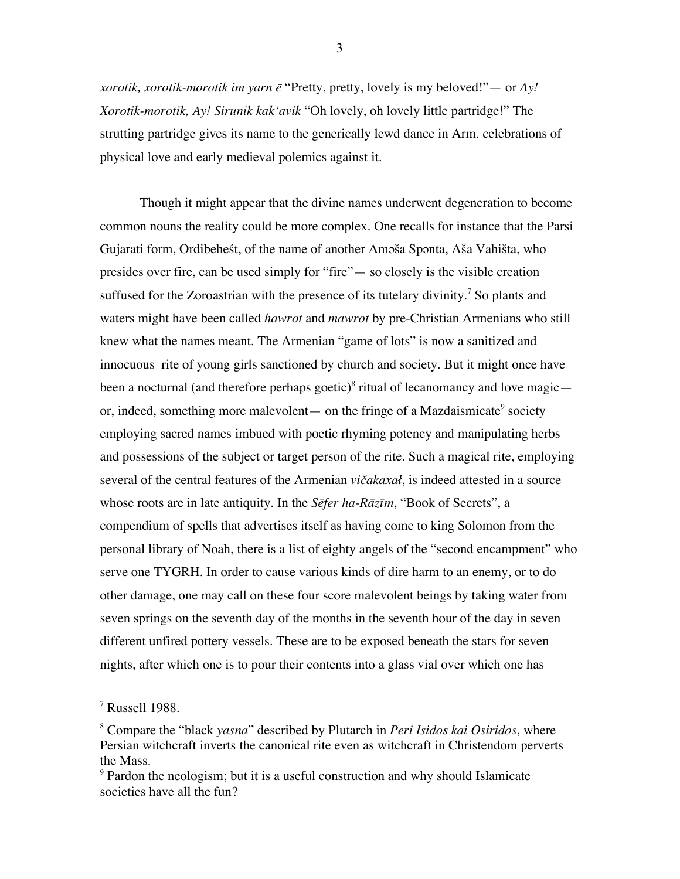*xorotik, xorotik-morotik im yarn ē* "Pretty, pretty, lovely is my beloved!"— or *Ay! Xorotik-morotik, Ay! Sirunik kak'avik* "Oh lovely, oh lovely little partridge!" The strutting partridge gives its name to the generically lewd dance in Arm. celebrations of physical love and early medieval polemics against it.

Though it might appear that the divine names underwent degeneration to become common nouns the reality could be more complex. One recalls for instance that the Parsi Gujarati form, Ordibeheśt, of the name of another Amǝša Spǝnta, Aša Vahišta, who presides over fire, can be used simply for "fire"— so closely is the visible creation suffused for the Zoroastrian with the presence of its tutelary divinity.<sup>7</sup> So plants and waters might have been called *hawrot* and *mawrot* by pre-Christian Armenians who still knew what the names meant. The Armenian "game of lots" is now a sanitized and innocuous rite of young girls sanctioned by church and society. But it might once have been a nocturnal (and therefore perhaps goetic)<sup>8</sup> ritual of lecanomancy and love magic or, indeed, something more malevolent— on the fringe of a Mazdaismicate<sup>9</sup> society employing sacred names imbued with poetic rhyming potency and manipulating herbs and possessions of the subject or target person of the rite. Such a magical rite, employing several of the central features of the Armenian *vičakaxał*, is indeed attested in a source whose roots are in late antiquity. In the *Sēfer ha-Rāzīm*, "Book of Secrets", a compendium of spells that advertises itself as having come to king Solomon from the personal library of Noah, there is a list of eighty angels of the "second encampment" who serve one TYGRH. In order to cause various kinds of dire harm to an enemy, or to do other damage, one may call on these four score malevolent beings by taking water from seven springs on the seventh day of the months in the seventh hour of the day in seven different unfired pottery vessels. These are to be exposed beneath the stars for seven nights, after which one is to pour their contents into a glass vial over which one has

7 Russell 1988.

<sup>8</sup> Compare the "black *yasna*" described by Plutarch in *Peri Isidos kai Osiridos*, where Persian witchcraft inverts the canonical rite even as witchcraft in Christendom perverts the Mass.

<sup>&</sup>lt;sup>9</sup> Pardon the neologism; but it is a useful construction and why should Islamicate societies have all the fun?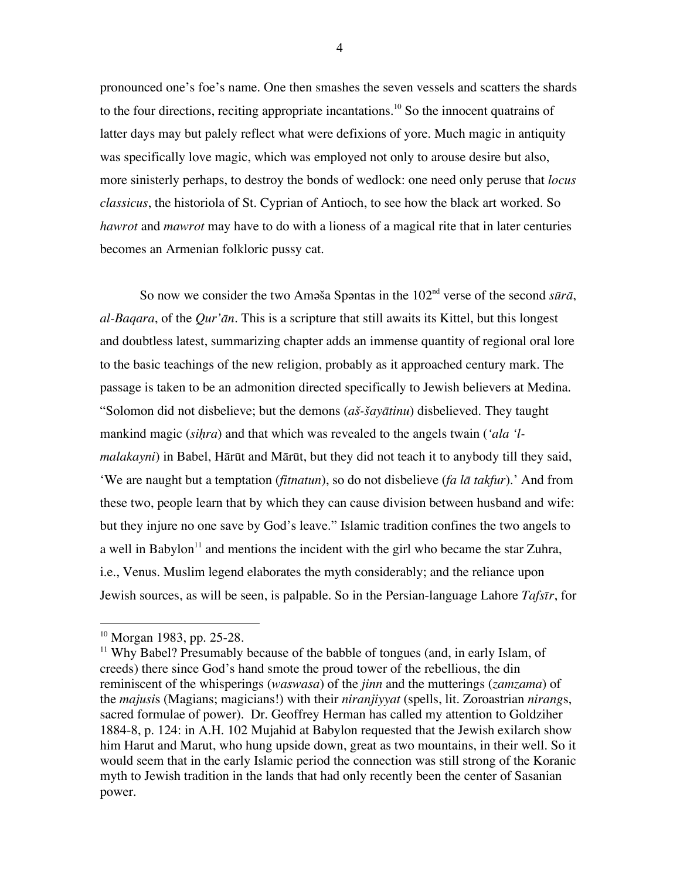pronounced one's foe's name. One then smashes the seven vessels and scatters the shards to the four directions, reciting appropriate incantations.<sup>10</sup> So the innocent quatrains of latter days may but palely reflect what were defixions of yore. Much magic in antiquity was specifically love magic, which was employed not only to arouse desire but also, more sinisterly perhaps, to destroy the bonds of wedlock: one need only peruse that *locus classicus*, the historiola of St. Cyprian of Antioch, to see how the black art worked. So *hawrot* and *mawrot* may have to do with a lioness of a magical rite that in later centuries becomes an Armenian folkloric pussy cat.

So now we consider the two Amǝša Spǝntas in the  $102<sup>nd</sup>$  verse of the second *sūrā*, *al-Baqara*, of the *Qur'ān*. This is a scripture that still awaits its Kittel, but this longest and doubtless latest, summarizing chapter adds an immense quantity of regional oral lore to the basic teachings of the new religion, probably as it approached century mark. The passage is taken to be an admonition directed specifically to Jewish believers at Medina. "Solomon did not disbelieve; but the demons (*aš-šayātinu*) disbelieved. They taught mankind magic (*siḥra*) and that which was revealed to the angels twain (*'ala 'lmalakayni*) in Babel, Hārūt and Mārūt, but they did not teach it to anybody till they said, 'We are naught but a temptation (*fitnatun*), so do not disbelieve (*fa lā takfur*).' And from these two, people learn that by which they can cause division between husband and wife: but they injure no one save by God's leave." Islamic tradition confines the two angels to a well in Babylon<sup>11</sup> and mentions the incident with the girl who became the star Zuhra, i.e., Venus. Muslim legend elaborates the myth considerably; and the reliance upon Jewish sources, as will be seen, is palpable. So in the Persian-language Lahore *Tafsīr*, for

 $\overline{a}$ 

<sup>&</sup>lt;sup>10</sup> Morgan 1983, pp. 25-28.

<sup>&</sup>lt;sup>11</sup> Why Babel? Presumably because of the babble of tongues (and, in early Islam, of creeds) there since God's hand smote the proud tower of the rebellious, the din reminiscent of the whisperings (*waswasa*) of the *jinn* and the mutterings (*zamzama*) of the *majusi*s (Magians; magicians!) with their *niranjiyyat* (spells, lit. Zoroastrian *nirang*s, sacred formulae of power). Dr. Geoffrey Herman has called my attention to Goldziher 1884-8, p. 124: in A.H. 102 Mujahid at Babylon requested that the Jewish exilarch show him Harut and Marut, who hung upside down, great as two mountains, in their well. So it would seem that in the early Islamic period the connection was still strong of the Koranic myth to Jewish tradition in the lands that had only recently been the center of Sasanian power.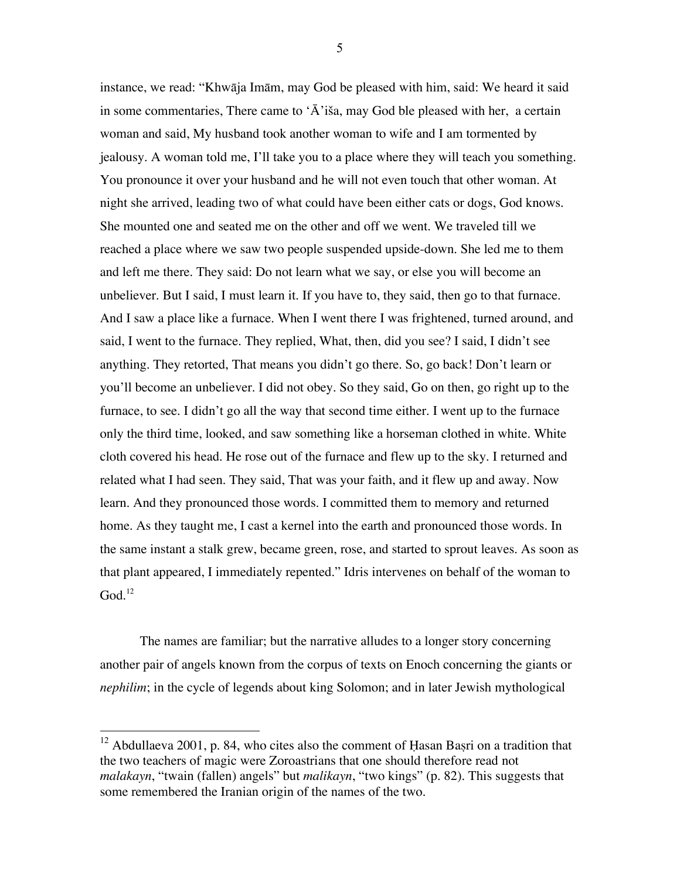instance, we read: "Khwāja Imām, may God be pleased with him, said: We heard it said in some commentaries, There came to ' $\overline{A}$ 'iša, may God ble pleased with her, a certain woman and said, My husband took another woman to wife and I am tormented by jealousy. A woman told me, I'll take you to a place where they will teach you something. You pronounce it over your husband and he will not even touch that other woman. At night she arrived, leading two of what could have been either cats or dogs, God knows. She mounted one and seated me on the other and off we went. We traveled till we reached a place where we saw two people suspended upside-down. She led me to them and left me there. They said: Do not learn what we say, or else you will become an unbeliever. But I said, I must learn it. If you have to, they said, then go to that furnace. And I saw a place like a furnace. When I went there I was frightened, turned around, and said, I went to the furnace. They replied, What, then, did you see? I said, I didn't see anything. They retorted, That means you didn't go there. So, go back! Don't learn or you'll become an unbeliever. I did not obey. So they said, Go on then, go right up to the furnace, to see. I didn't go all the way that second time either. I went up to the furnace only the third time, looked, and saw something like a horseman clothed in white. White cloth covered his head. He rose out of the furnace and flew up to the sky. I returned and related what I had seen. They said, That was your faith, and it flew up and away. Now learn. And they pronounced those words. I committed them to memory and returned home. As they taught me, I cast a kernel into the earth and pronounced those words. In the same instant a stalk grew, became green, rose, and started to sprout leaves. As soon as that plant appeared, I immediately repented." Idris intervenes on behalf of the woman to  $God.<sup>12</sup>$ 

The names are familiar; but the narrative alludes to a longer story concerning another pair of angels known from the corpus of texts on Enoch concerning the giants or *nephilim*; in the cycle of legends about king Solomon; and in later Jewish mythological

 $12$  Abdullaeva 2001, p. 84, who cites also the comment of Hasan Basri on a tradition that the two teachers of magic were Zoroastrians that one should therefore read not *malakayn*, "twain (fallen) angels" but *malikayn*, "two kings" (p. 82). This suggests that some remembered the Iranian origin of the names of the two.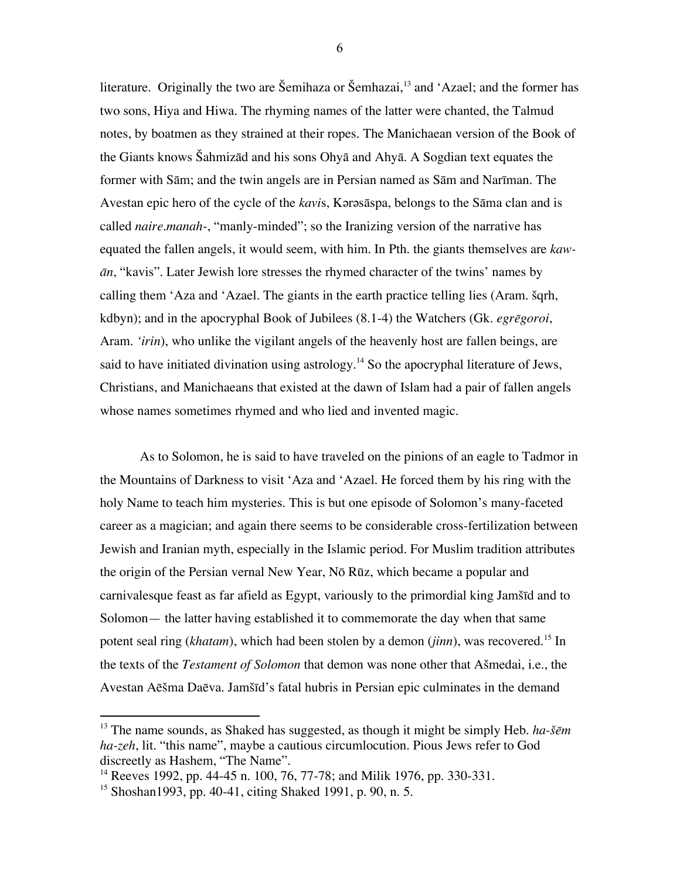literature. Originally the two are Šemihaza or Šemhazai, 13 and 'Azael; and the former has two sons, Hiya and Hiwa. The rhyming names of the latter were chanted, the Talmud notes, by boatmen as they strained at their ropes. The Manichaean version of the Book of the Giants knows Šahmizād and his sons Ohyā and Ahyā. A Sogdian text equates the former with Sām; and the twin angels are in Persian named as Sām and Narīman. The Avestan epic hero of the cycle of the *kavis*, Karasaspa, belongs to the Sama clan and is called *naire.manah*-, "manly-minded"; so the Iranizing version of the narrative has equated the fallen angels, it would seem, with him. In Pth. the giants themselves are *kawān*, "kavis". Later Jewish lore stresses the rhymed character of the twins' names by calling them 'Aza and 'Azael. The giants in the earth practice telling lies (Aram. šqrh, kdbyn); and in the apocryphal Book of Jubilees (8.1-4) the Watchers (Gk. *egrēgoroi*, Aram. *'irin*), who unlike the vigilant angels of the heavenly host are fallen beings, are said to have initiated divination using astrology.<sup>14</sup> So the apocryphal literature of Jews, Christians, and Manichaeans that existed at the dawn of Islam had a pair of fallen angels whose names sometimes rhymed and who lied and invented magic.

As to Solomon, he is said to have traveled on the pinions of an eagle to Tadmor in the Mountains of Darkness to visit 'Aza and 'Azael. He forced them by his ring with the holy Name to teach him mysteries. This is but one episode of Solomon's many-faceted career as a magician; and again there seems to be considerable cross-fertilization between Jewish and Iranian myth, especially in the Islamic period. For Muslim tradition attributes the origin of the Persian vernal New Year, Nō Rūz, which became a popular and carnivalesque feast as far afield as Egypt, variously to the primordial king Jamšīd and to Solomon— the latter having established it to commemorate the day when that same potent seal ring (*khatam*), which had been stolen by a demon (*jinn*), was recovered.<sup>15</sup> In the texts of the *Testament of Solomon* that demon was none other that Ašmedai, i.e., the Avestan Aēšma Daēva. Jamšīd's fatal hubris in Persian epic culminates in the demand

 $\overline{a}$ 

<sup>13</sup> The name sounds, as Shaked has suggested, as though it might be simply Heb. *ha-šēm ha-zeh*, lit. "this name", maybe a cautious circumlocution. Pious Jews refer to God discreetly as Hashem, "The Name".

<sup>&</sup>lt;sup>14</sup> Reeves 1992, pp. 44-45 n. 100, 76, 77-78; and Milik 1976, pp. 330-331.

<sup>15</sup> Shoshan1993, pp. 40-41, citing Shaked 1991, p. 90, n. 5.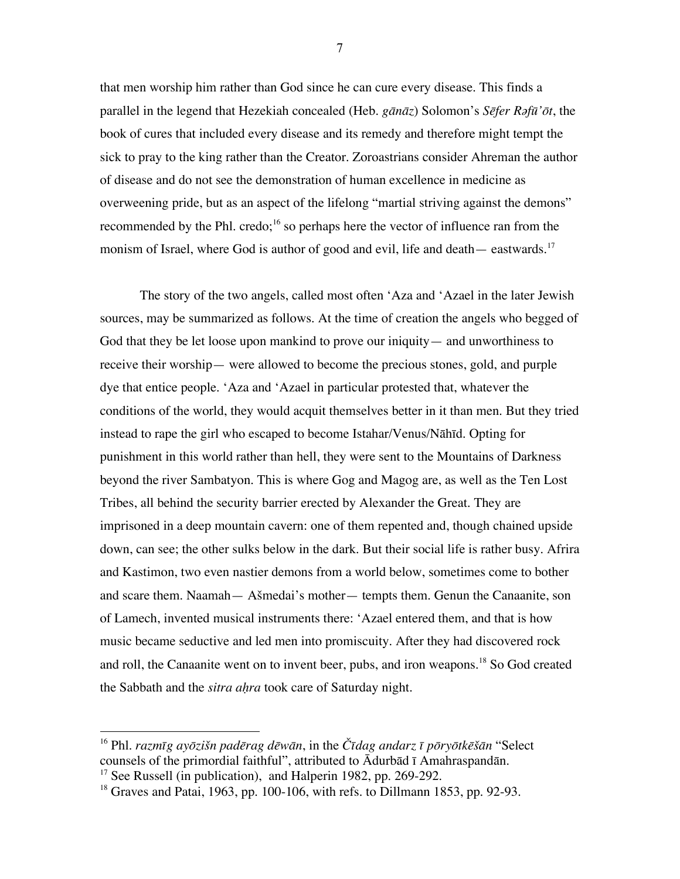that men worship him rather than God since he can cure every disease. This finds a parallel in the legend that Hezekiah concealed (Heb. *gānāz*) Solomon's *Sēfer Rǝfū'ōt*, the book of cures that included every disease and its remedy and therefore might tempt the sick to pray to the king rather than the Creator. Zoroastrians consider Ahreman the author of disease and do not see the demonstration of human excellence in medicine as overweening pride, but as an aspect of the lifelong "martial striving against the demons" recommended by the Phl. credo;<sup>16</sup> so perhaps here the vector of influence ran from the monism of Israel, where God is author of good and evil, life and death— eastwards.<sup>17</sup>

The story of the two angels, called most often 'Aza and 'Azael in the later Jewish sources, may be summarized as follows. At the time of creation the angels who begged of God that they be let loose upon mankind to prove our iniquity— and unworthiness to receive their worship— were allowed to become the precious stones, gold, and purple dye that entice people. 'Aza and 'Azael in particular protested that, whatever the conditions of the world, they would acquit themselves better in it than men. But they tried instead to rape the girl who escaped to become Istahar/Venus/Nāhīd. Opting for punishment in this world rather than hell, they were sent to the Mountains of Darkness beyond the river Sambatyon. This is where Gog and Magog are, as well as the Ten Lost Tribes, all behind the security barrier erected by Alexander the Great. They are imprisoned in a deep mountain cavern: one of them repented and, though chained upside down, can see; the other sulks below in the dark. But their social life is rather busy. Afrira and Kastimon, two even nastier demons from a world below, sometimes come to bother and scare them. Naamah— Ašmedai's mother— tempts them. Genun the Canaanite, son of Lamech, invented musical instruments there: 'Azael entered them, and that is how music became seductive and led men into promiscuity. After they had discovered rock and roll, the Canaanite went on to invent beer, pubs, and iron weapons.<sup>18</sup> So God created the Sabbath and the *sitra aḥra* took care of Saturday night.

 $\overline{a}$ 

<sup>&</sup>lt;sup>16</sup> Phl. razmīg ayōzišn padērag dēwān, in the Čīdag andarz ī pōryōtkēšān "Select" counsels of the primordial faithful", attributed to Ādurbād ī Amahraspandān.

 $17$  See Russell (in publication), and Halperin 1982, pp. 269-292.

 $18$  Graves and Patai, 1963, pp. 100-106, with refs. to Dillmann 1853, pp. 92-93.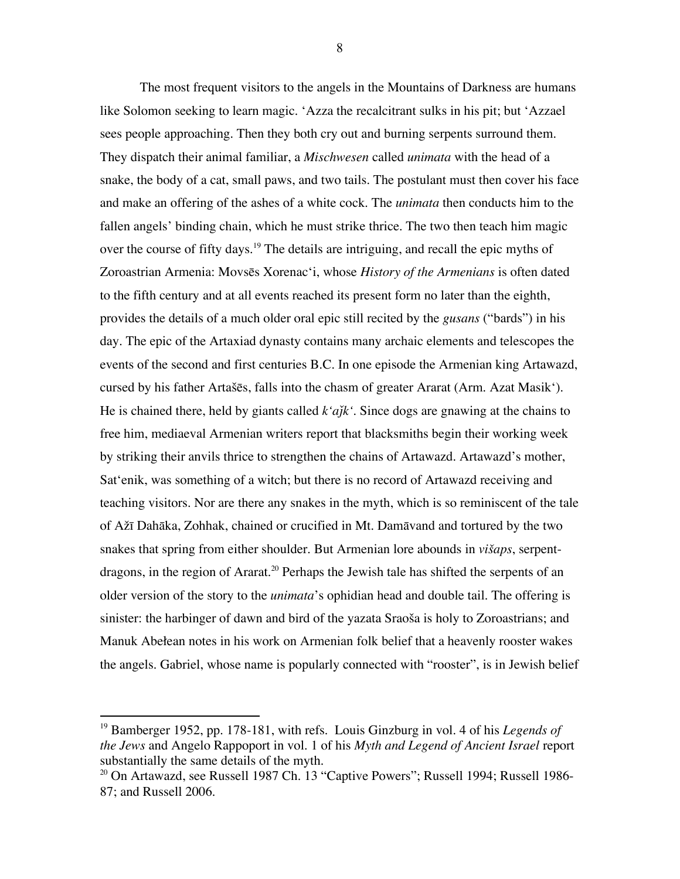The most frequent visitors to the angels in the Mountains of Darkness are humans like Solomon seeking to learn magic. 'Azza the recalcitrant sulks in his pit; but 'Azzael sees people approaching. Then they both cry out and burning serpents surround them. They dispatch their animal familiar, a *Mischwesen* called *unimata* with the head of a snake, the body of a cat, small paws, and two tails. The postulant must then cover his face and make an offering of the ashes of a white cock. The *unimata* then conducts him to the fallen angels' binding chain, which he must strike thrice. The two then teach him magic over the course of fifty days.<sup>19</sup> The details are intriguing, and recall the epic myths of Zoroastrian Armenia: Movsēs Xorenac'i, whose *History of the Armenians* is often dated to the fifth century and at all events reached its present form no later than the eighth, provides the details of a much older oral epic still recited by the *gusans* ("bards") in his day. The epic of the Artaxiad dynasty contains many archaic elements and telescopes the events of the second and first centuries B.C. In one episode the Armenian king Artawazd, cursed by his father Artašēs, falls into the chasm of greater Ararat (Arm. Azat Masik'). He is chained there, held by giants called  $k'ajk'$ . Since dogs are gnawing at the chains to free him, mediaeval Armenian writers report that blacksmiths begin their working week by striking their anvils thrice to strengthen the chains of Artawazd. Artawazd's mother, Sat'enik, was something of a witch; but there is no record of Artawazd receiving and teaching visitors. Nor are there any snakes in the myth, which is so reminiscent of the tale of Ažī Dahāka, Zohhak, chained or crucified in Mt. Damāvand and tortured by the two snakes that spring from either shoulder. But Armenian lore abounds in *višaps*, serpentdragons, in the region of Ararat.<sup>20</sup> Perhaps the Jewish tale has shifted the serpents of an older version of the story to the *unimata*'s ophidian head and double tail. The offering is sinister: the harbinger of dawn and bird of the yazata Sraoša is holy to Zoroastrians; and Manuk Abełean notes in his work on Armenian folk belief that a heavenly rooster wakes the angels. Gabriel, whose name is popularly connected with "rooster", is in Jewish belief

<sup>19</sup> Bamberger 1952, pp. 178-181, with refs. Louis Ginzburg in vol. 4 of his *Legends of the Jews* and Angelo Rappoport in vol. 1 of his *Myth and Legend of Ancient Israel* report substantially the same details of the myth.

<sup>&</sup>lt;sup>20</sup> On Artawazd, see Russell 1987 Ch. 13 "Captive Powers"; Russell 1994; Russell 1986-87; and Russell 2006.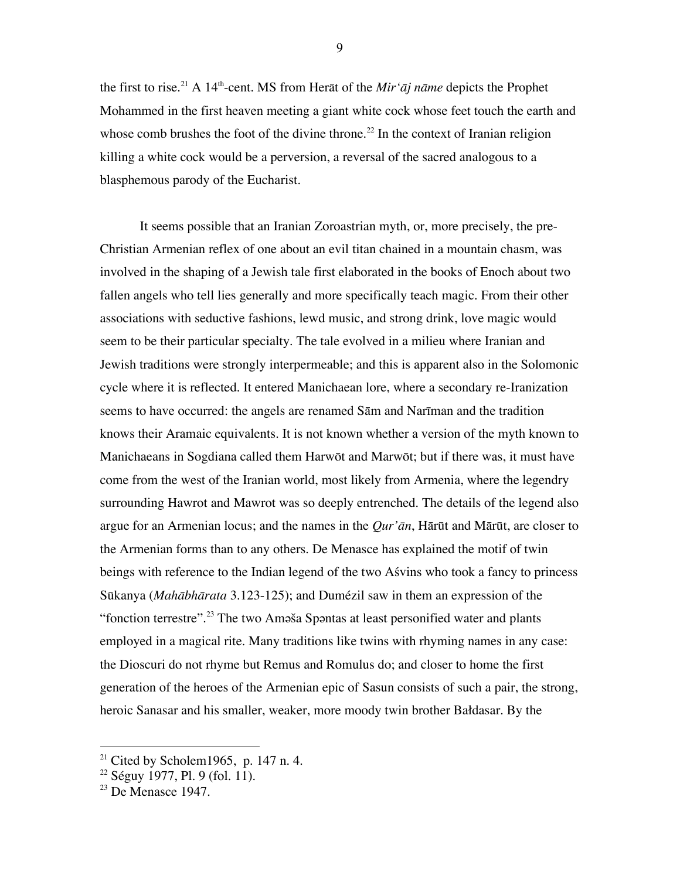the first to rise. 21 A 14th -cent. MS from Herāt of the *Mir'āj nāme* depicts the Prophet Mohammed in the first heaven meeting a giant white cock whose feet touch the earth and whose comb brushes the foot of the divine throne.<sup>22</sup> In the context of Iranian religion killing a white cock would be a perversion, a reversal of the sacred analogous to a blasphemous parody of the Eucharist.

It seems possible that an Iranian Zoroastrian myth, or, more precisely, the pre-Christian Armenian reflex of one about an evil titan chained in a mountain chasm, was involved in the shaping of a Jewish tale first elaborated in the books of Enoch about two fallen angels who tell lies generally and more specifically teach magic. From their other associations with seductive fashions, lewd music, and strong drink, love magic would seem to be their particular specialty. The tale evolved in a milieu where Iranian and Jewish traditions were strongly interpermeable; and this is apparent also in the Solomonic cycle where it is reflected. It entered Manichaean lore, where a secondary re-Iranization seems to have occurred: the angels are renamed Sām and Narīman and the tradition knows their Aramaic equivalents. It is not known whether a version of the myth known to Manichaeans in Sogdiana called them Harwōt and Marwōt; but if there was, it must have come from the west of the Iranian world, most likely from Armenia, where the legendry surrounding Hawrot and Mawrot was so deeply entrenched. The details of the legend also argue for an Armenian locus; and the names in the *Qur'ān*, Hārūt and Mārūt, are closer to the Armenian forms than to any others. De Menasce has explained the motif of twin beings with reference to the Indian legend of the two Aśvins who took a fancy to princess Sūkanya (*Mahābhārata* 3.123-125); and Dumézil saw in them an expression of the "fonction terrestre".<sup>23</sup> The two Amǝša Spǝntas at least personified water and plants employed in a magical rite. Many traditions like twins with rhyming names in any case: the Dioscuri do not rhyme but Remus and Romulus do; and closer to home the first generation of the heroes of the Armenian epic of Sasun consists of such a pair, the strong, heroic Sanasar and his smaller, weaker, more moody twin brother Bałdasar. By the

 $\overline{a}$ 

<sup>&</sup>lt;sup>21</sup> Cited by Scholem1965, p. 147 n. 4.

<sup>&</sup>lt;sup>22</sup> Séguy 1977, Pl. 9 (fol. 11).<br><sup>23</sup> De Menasce 1947.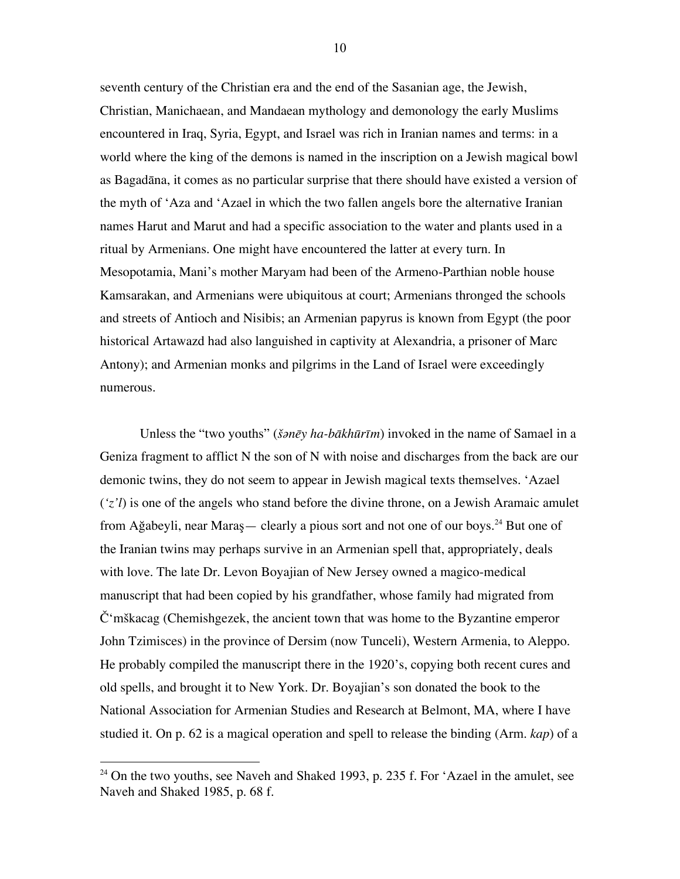seventh century of the Christian era and the end of the Sasanian age, the Jewish, Christian, Manichaean, and Mandaean mythology and demonology the early Muslims encountered in Iraq, Syria, Egypt, and Israel was rich in Iranian names and terms: in a world where the king of the demons is named in the inscription on a Jewish magical bowl as Bagadāna, it comes as no particular surprise that there should have existed a version of the myth of 'Aza and 'Azael in which the two fallen angels bore the alternative Iranian names Harut and Marut and had a specific association to the water and plants used in a ritual by Armenians. One might have encountered the latter at every turn. In Mesopotamia, Mani's mother Maryam had been of the Armeno-Parthian noble house Kamsarakan, and Armenians were ubiquitous at court; Armenians thronged the schools and streets of Antioch and Nisibis; an Armenian papyrus is known from Egypt (the poor historical Artawazd had also languished in captivity at Alexandria, a prisoner of Marc Antony); and Armenian monks and pilgrims in the Land of Israel were exceedingly numerous.

Unless the "two youths" (*šǝnēy ha-bākhūrīm*) invoked in the name of Samael in a Geniza fragment to afflict N the son of N with noise and discharges from the back are our demonic twins, they do not seem to appear in Jewish magical texts themselves. 'Azael (*'z'l*) is one of the angels who stand before the divine throne, on a Jewish Aramaic amulet from Ağabeyli, near Maraş— clearly a pious sort and not one of our boys. 24 But one of the Iranian twins may perhaps survive in an Armenian spell that, appropriately, deals with love. The late Dr. Levon Boyajian of New Jersey owned a magico-medical manuscript that had been copied by his grandfather, whose family had migrated from Č'mškacag (Chemishgezek, the ancient town that was home to the Byzantine emperor John Tzimisces) in the province of Dersim (now Tunceli), Western Armenia, to Aleppo. He probably compiled the manuscript there in the 1920's, copying both recent cures and old spells, and brought it to New York. Dr. Boyajian's son donated the book to the National Association for Armenian Studies and Research at Belmont, MA, where I have studied it. On p. 62 is a magical operation and spell to release the binding (Arm. *kap*) of a

 $\overline{a}$ 

 $24$  On the two youths, see Naveh and Shaked 1993, p. 235 f. For 'Azael in the amulet, see Naveh and Shaked 1985, p. 68 f.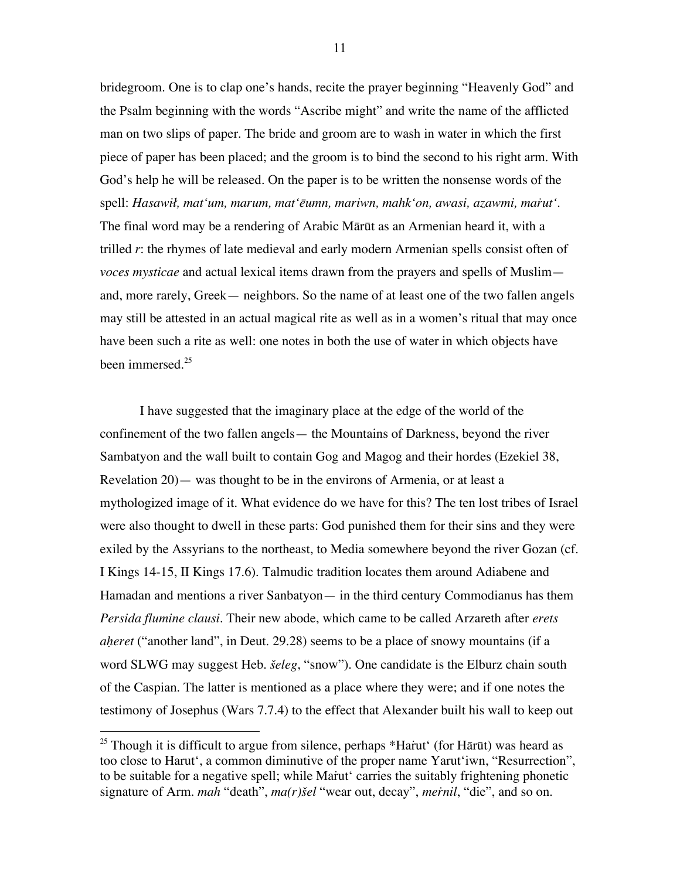bridegroom. One is to clap one's hands, recite the prayer beginning "Heavenly God" and the Psalm beginning with the words "Ascribe might" and write the name of the afflicted man on two slips of paper. The bride and groom are to wash in water in which the first piece of paper has been placed; and the groom is to bind the second to his right arm. With God's help he will be released. On the paper is to be written the nonsense words of the spell: *Hasawił, mat'um, marum, mat'ēumn, mariwn, mahk'on, awasi, azawmi, maṙut'*. The final word may be a rendering of Arabic Mārūt as an Armenian heard it, with a trilled *r*: the rhymes of late medieval and early modern Armenian spells consist often of *voces mysticae* and actual lexical items drawn from the prayers and spells of Muslim and, more rarely, Greek— neighbors. So the name of at least one of the two fallen angels may still be attested in an actual magical rite as well as in a women's ritual that may once have been such a rite as well: one notes in both the use of water in which objects have been immersed.<sup>25</sup>

I have suggested that the imaginary place at the edge of the world of the confinement of the two fallen angels— the Mountains of Darkness, beyond the river Sambatyon and the wall built to contain Gog and Magog and their hordes (Ezekiel 38, Revelation 20)— was thought to be in the environs of Armenia, or at least a mythologized image of it. What evidence do we have for this? The ten lost tribes of Israel were also thought to dwell in these parts: God punished them for their sins and they were exiled by the Assyrians to the northeast, to Media somewhere beyond the river Gozan (cf. I Kings 14-15, II Kings 17.6). Talmudic tradition locates them around Adiabene and Hamadan and mentions a river Sanbatyon— in the third century Commodianus has them *Persida flumine clausi*. Their new abode, which came to be called Arzareth after *erets aḥeret* ("another land", in Deut. 29.28) seems to be a place of snowy mountains (if a word SLWG may suggest Heb. *šeleg*, "snow"). One candidate is the Elburz chain south of the Caspian. The latter is mentioned as a place where they were; and if one notes the testimony of Josephus (Wars 7.7.4) to the effect that Alexander built his wall to keep out

 $\overline{a}$ 

<sup>&</sup>lt;sup>25</sup> Though it is difficult to argue from silence, perhaps \*Harut (for Harūt) was heard as too close to Harut', a common diminutive of the proper name Yarut'iwn, "Resurrection", to be suitable for a negative spell; while Marut carries the suitably frightening phonetic signature of Arm. *mah* "death", *ma(r)šel* "wear out, decay", *meṙnil*, "die", and so on.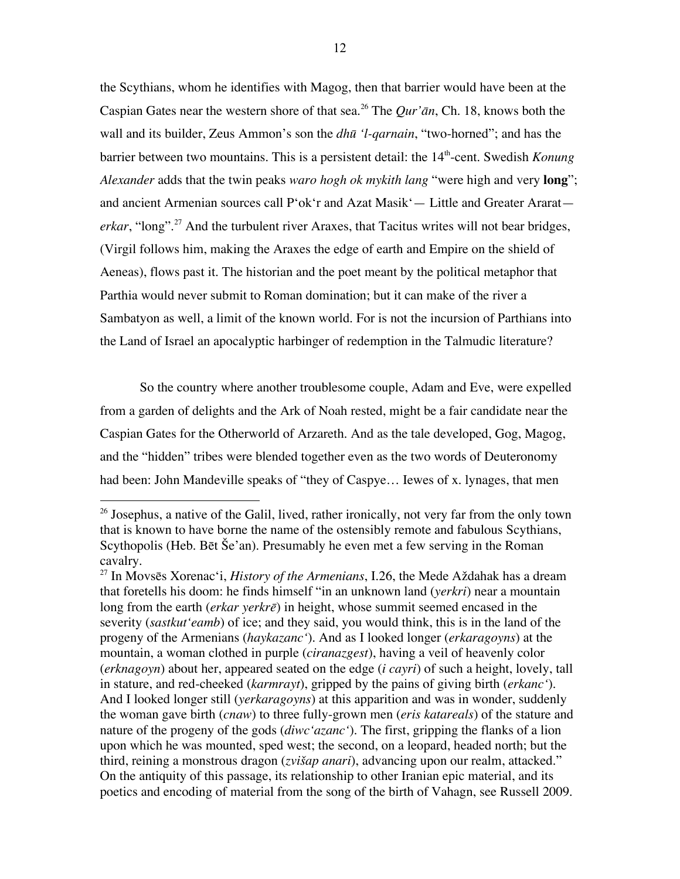the Scythians, whom he identifies with Magog, then that barrier would have been at the Caspian Gates near the western shore of that sea. 26 The *Qur'ān*, Ch. 18, knows both the wall and its builder, Zeus Ammon's son the *dhū 'l-qarnain*, "two-horned"; and has the barrier between two mountains. This is a persistent detail: the 14<sup>th</sup>-cent. Swedish *Konung Alexander* adds that the twin peaks *waro hogh ok mykith lang* "were high and very **long**"; and ancient Armenian sources call P'ok'r and Azat Masik'— Little and Greater Ararat *erkar*, "long". 27 And the turbulent river Araxes, that Tacitus writes will not bear bridges, (Virgil follows him, making the Araxes the edge of earth and Empire on the shield of Aeneas), flows past it. The historian and the poet meant by the political metaphor that Parthia would never submit to Roman domination; but it can make of the river a Sambatyon as well, a limit of the known world. For is not the incursion of Parthians into the Land of Israel an apocalyptic harbinger of redemption in the Talmudic literature?

So the country where another troublesome couple, Adam and Eve, were expelled from a garden of delights and the Ark of Noah rested, might be a fair candidate near the Caspian Gates for the Otherworld of Arzareth. And as the tale developed, Gog, Magog, and the "hidden" tribes were blended together even as the two words of Deuteronomy had been: John Mandeville speaks of "they of Caspye… Iewes of x. lynages, that men

 $^{26}$  Josephus, a native of the Galil, lived, rather ironically, not very far from the only town that is known to have borne the name of the ostensibly remote and fabulous Scythians, Scythopolis (Heb. Bēt Še'an). Presumably he even met a few serving in the Roman cavalry.

<sup>27</sup> In Movsēs Xorenac'i, *History of the Armenians*, I.26, the Mede Aždahak has a dream that foretells his doom: he finds himself "in an unknown land (*yerkri*) near a mountain long from the earth (*erkar yerkrē*) in height, whose summit seemed encased in the severity (*sastkut'eamb*) of ice; and they said, you would think, this is in the land of the progeny of the Armenians (*haykazanc'*)*.* And as I looked longer (*erkaragoyns*) at the mountain, a woman clothed in purple (*ciranazgest*), having a veil of heavenly color (*erknagoyn*) about her, appeared seated on the edge (*i cayri*) of such a height, lovely, tall in stature, and red-cheeked (*karmrayt*), gripped by the pains of giving birth (*erkanc'*)*.* And I looked longer still (*yerkaragoyns*) at this apparition and was in wonder, suddenly the woman gave birth (*cnaw*) to three fully-grown men (*eris katareals*) of the stature and nature of the progeny of the gods (*diwc'azanc'*). The first, gripping the flanks of a lion upon which he was mounted, sped west; the second, on a leopard, headed north; but the third, reining a monstrous dragon (*zvišap anari*), advancing upon our realm, attacked." On the antiquity of this passage, its relationship to other Iranian epic material, and its poetics and encoding of material from the song of the birth of Vahagn, see Russell 2009.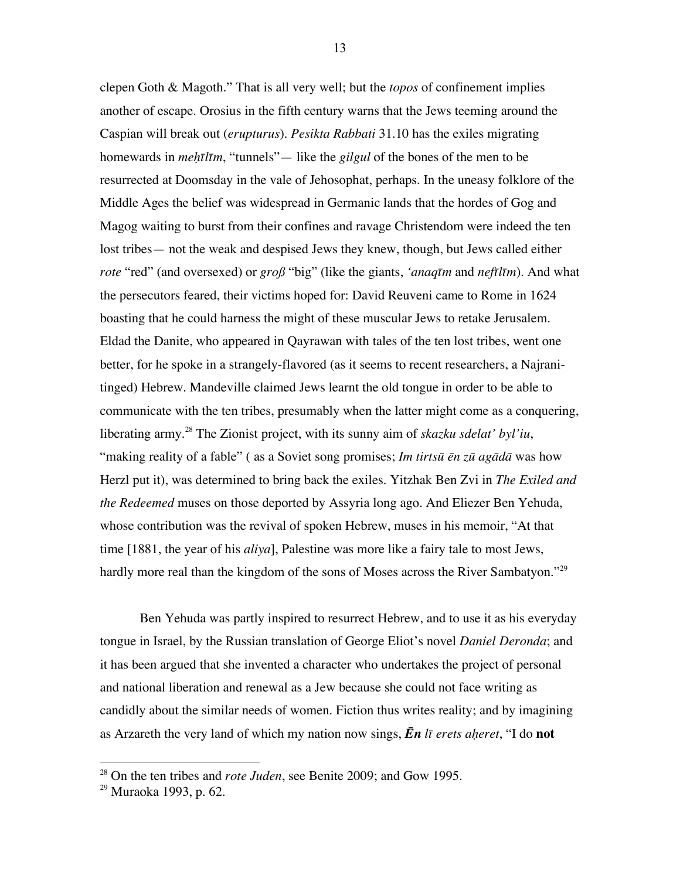clepen Goth & Magoth." That is all very well; but the *topos* of confinement implies another of escape. Orosius in the fifth century warns that the Jews teeming around the Caspian will break out (*erupturus*). *Pesikta Rabbati* 31.10 has the exiles migrating homewards in *meḥīlīm*, "tunnels"— like the *gilgul* of the bones of the men to be resurrected at Doomsday in the vale of Jehosophat, perhaps. In the uneasy folklore of the Middle Ages the belief was widespread in Germanic lands that the hordes of Gog and Magog waiting to burst from their confines and ravage Christendom were indeed the ten lost tribes— not the weak and despised Jews they knew, though, but Jews called either *rote* "red" (and oversexed) or *groß* "big" (like the giants, *'anaqīm* and *nefīlīm*). And what the persecutors feared, their victims hoped for: David Reuveni came to Rome in 1624 boasting that he could harness the might of these muscular Jews to retake Jerusalem. Eldad the Danite, who appeared in Qayrawan with tales of the ten lost tribes, went one better, for he spoke in a strangely-flavored (as it seems to recent researchers, a Najranitinged) Hebrew. Mandeville claimed Jews learnt the old tongue in order to be able to communicate with the ten tribes, presumably when the latter might come as a conquering, liberating army.<sup>28</sup> The Zionist project, with its sunny aim of *skazku sdelat' byl'iu*, "making reality of a fable" ( as a Soviet song promises; *Im tirtsū ēn zū agādā* was how Herzl put it), was determined to bring back the exiles. Yitzhak Ben Zvi in *The Exiled and the Redeemed* muses on those deported by Assyria long ago. And Eliezer Ben Yehuda, whose contribution was the revival of spoken Hebrew, muses in his memoir, "At that time [1881, the year of his *aliya*], Palestine was more like a fairy tale to most Jews, hardly more real than the kingdom of the sons of Moses across the River Sambatyon."<sup>29</sup>

Ben Yehuda was partly inspired to resurrect Hebrew, and to use it as his everyday tongue in Israel, by the Russian translation of George Eliot's novel *Daniel Deronda*; and it has been argued that she invented a character who undertakes the project of personal and national liberation and renewal as a Jew because she could not face writing as candidly about the similar needs of women. Fiction thus writes reality; and by imagining as Arzareth the very land of which my nation now sings, *Ēn lī erets aḥeret*, "I do **not**

<sup>28</sup> On the ten tribes and *rote Juden*, see Benite 2009; and Gow 1995.

<sup>29</sup> Muraoka 1993, p. 62.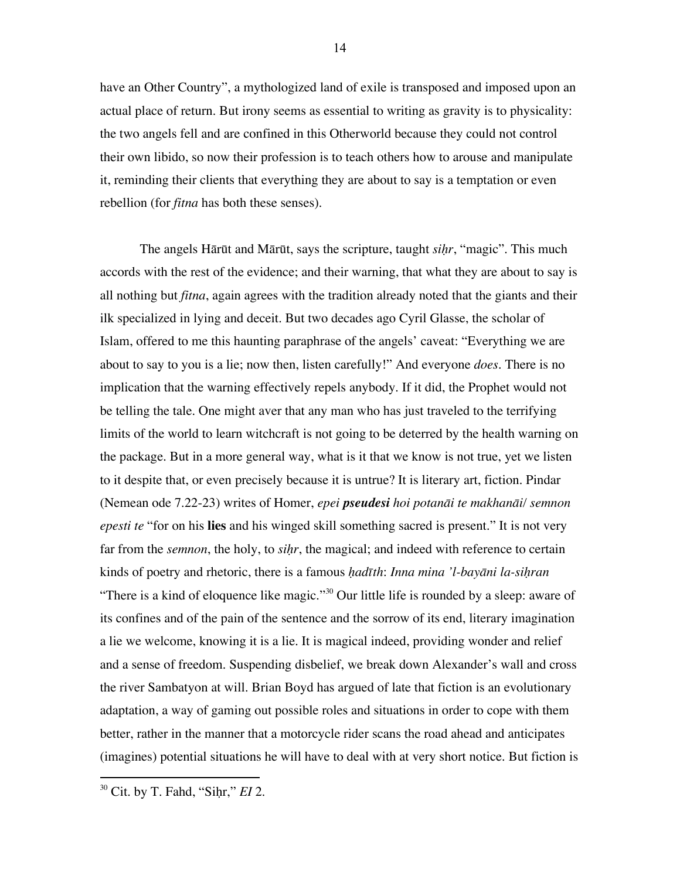have an Other Country", a mythologized land of exile is transposed and imposed upon an actual place of return. But irony seems as essential to writing as gravity is to physicality: the two angels fell and are confined in this Otherworld because they could not control their own libido, so now their profession is to teach others how to arouse and manipulate it, reminding their clients that everything they are about to say is a temptation or even rebellion (for *fitna* has both these senses).

The angels Hārūt and Mārūt, says the scripture, taught *siḥr*, "magic". This much accords with the rest of the evidence; and their warning, that what they are about to say is all nothing but *fitna*, again agrees with the tradition already noted that the giants and their ilk specialized in lying and deceit. But two decades ago Cyril Glasse, the scholar of Islam, offered to me this haunting paraphrase of the angels' caveat: "Everything we are about to say to you is a lie; now then, listen carefully!" And everyone *does*. There is no implication that the warning effectively repels anybody. If it did, the Prophet would not be telling the tale. One might aver that any man who has just traveled to the terrifying limits of the world to learn witchcraft is not going to be deterred by the health warning on the package. But in a more general way, what is it that we know is not true, yet we listen to it despite that, or even precisely because it is untrue? It is literary art, fiction. Pindar (Nemean ode 7.22-23) writes of Homer, *epei pseudesi hoi potanāi te makhanāi/ semnon epesti te* "for on his **lies** and his winged skill something sacred is present." It is not very far from the *semnon*, the holy, to *siḥr*, the magical; and indeed with reference to certain kinds of poetry and rhetoric, there is a famous *ḥadīth*: *Inna mina 'l-bayāni la-siḥran* "There is a kind of eloquence like magic."<sup>30</sup> Our little life is rounded by a sleep: aware of its confines and of the pain of the sentence and the sorrow of its end, literary imagination a lie we welcome, knowing it is a lie. It is magical indeed, providing wonder and relief and a sense of freedom. Suspending disbelief, we break down Alexander's wall and cross the river Sambatyon at will. Brian Boyd has argued of late that fiction is an evolutionary adaptation, a way of gaming out possible roles and situations in order to cope with them better, rather in the manner that a motorcycle rider scans the road ahead and anticipates (imagines) potential situations he will have to deal with at very short notice. But fiction is

<sup>&</sup>lt;sup>30</sup> Cit. by T. Fahd, "Sihr," *EI* 2.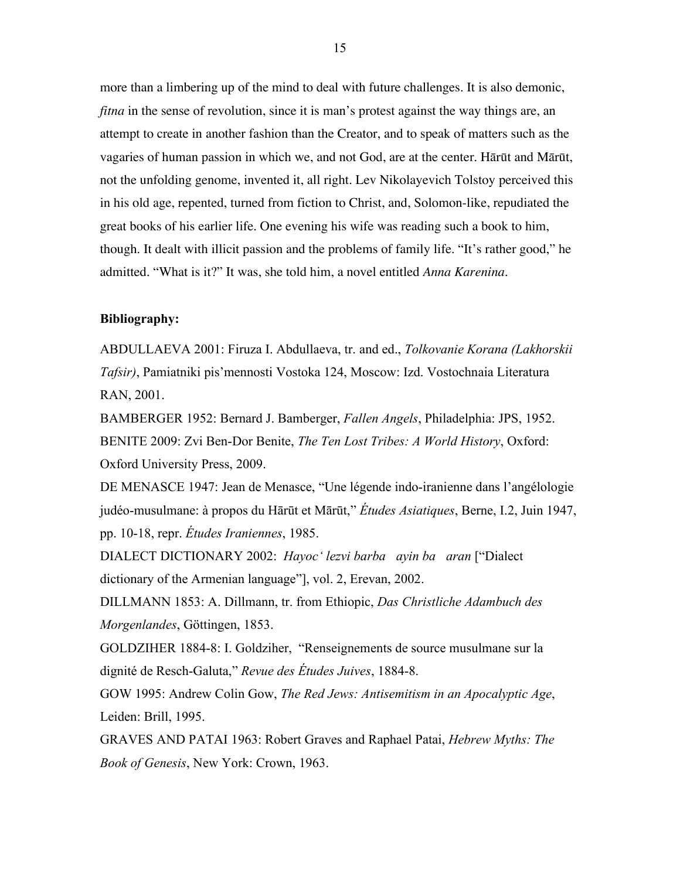more than a limbering up of the mind to deal with future challenges. It is also demonic, *fitna* in the sense of revolution, since it is man's protest against the way things are, an attempt to create in another fashion than the Creator, and to speak of matters such as the vagaries of human passion in which we, and not God, are at the center. Hārūt and Mārūt, not the unfolding genome, invented it, all right. Lev Nikolayevich Tolstoy perceived this in his old age, repented, turned from fiction to Christ, and, Solomon-like, repudiated the great books of his earlier life. One evening his wife was reading such a book to him, though. It dealt with illicit passion and the problems of family life. "It's rather good," he admitted. "What is it?" It was, she told him, a novel entitled *Anna Karenina*.

#### **Bibliography:**

ABDULLAEVA 2001: Firuza I. Abdullaeva, tr. and ed., *Tolkovanie Korana (Lakhorskii Tafsir)*, Pamiatniki pis'mennosti Vostoka 124, Moscow: Izd. Vostochnaia Literatura RAN, 2001.

BAMBERGER 1952: Bernard J. Bamberger, *Fallen Angels*, Philadelphia: JPS, 1952. BENITE 2009: Zvi Ben-Dor Benite, *The Ten Lost Tribes: A World History*, Oxford: Oxford University Press, 2009.

DE MENASCE 1947: Jean de Menasce, "Une légende indo-iranienne dans l'angélologie judéo-musulmane: à propos du Hārūt et Mārūt," *Études Asiatiques*, Berne, I.2, Juin 1947, pp. 10-18, repr. *Études Iraniennes*, 1985.

DIALECT DICTIONARY 2002: *Hayoc' lezvi barba ayin ba aran* ["Dialect dictionary of the Armenian language"], vol. 2, Erevan, 2002.

DILLMANN 1853: A. Dillmann, tr. from Ethiopic, *Das Christliche Adambuch des Morgenlandes*, Göttingen, 1853.

GOLDZIHER 1884-8: I. Goldziher, "Renseignements de source musulmane sur la dignité de Resch-Galuta," *Revue des Études Juives*, 1884-8.

GOW 1995: Andrew Colin Gow, *The Red Jews: Antisemitism in an Apocalyptic Age*, Leiden: Brill, 1995.

GRAVES AND PATAI 1963: Robert Graves and Raphael Patai, *Hebrew Myths: The Book of Genesis*, New York: Crown, 1963.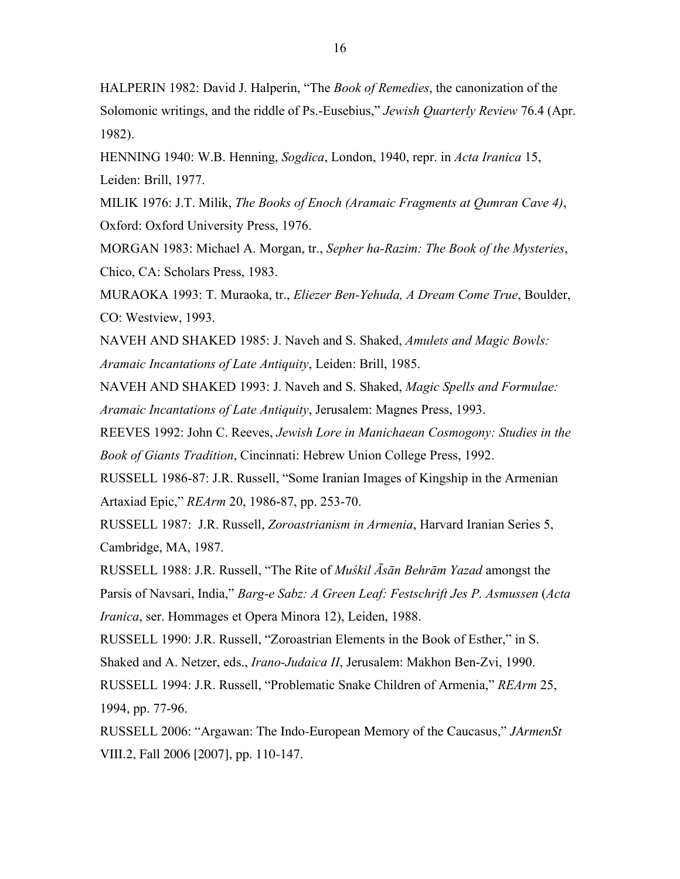HALPERIN 1982: David J. Halperin, "The *Book of Remedies*, the canonization of the Solomonic writings, and the riddle of Ps.-Eusebius," *Jewish Quarterly Review* 76.4 (Apr. 1982).

HENNING 1940: W.B. Henning, *Sogdica*, London, 1940, repr. in *Acta Iranica* 15, Leiden: Brill, 1977.

MILIK 1976: J.T. Milik, *The Books of Enoch (Aramaic Fragments at Qumran Cave 4)*, Oxford: Oxford University Press, 1976.

MORGAN 1983: Michael A. Morgan, tr., *Sepher ha-Razim: The Book of the Mysteries*, Chico, CA: Scholars Press, 1983.

MURAOKA 1993: T. Muraoka, tr., *Eliezer Ben-Yehuda, A Dream Come True*, Boulder, CO: Westview, 1993.

NAVEH AND SHAKED 1985: J. Naveh and S. Shaked, *Amulets and Magic Bowls: Aramaic Incantations of Late Antiquity*, Leiden: Brill, 1985.

NAVEH AND SHAKED 1993: J. Naveh and S. Shaked, *Magic Spells and Formulae: Aramaic Incantations of Late Antiquity*, Jerusalem: Magnes Press, 1993.

REEVES 1992: John C. Reeves, *Jewish Lore in Manichaean Cosmogony: Studies in the Book of Giants Tradition*, Cincinnati: Hebrew Union College Press, 1992.

RUSSELL 1986-87: J.R. Russell, "Some Iranian Images of Kingship in the Armenian Artaxiad Epic," *REArm* 20, 1986-87, pp. 253-70.

RUSSELL 1987: J.R. Russell, *Zoroastrianism in Armenia*, Harvard Iranian Series 5, Cambridge, MA, 1987.

RUSSELL 1988: J.R. Russell, "The Rite of *Muśkil Āsān Behrām Yazad* amongst the Parsis of Navsari, India," *Barg-e Sabz: A Green Leaf: Festschrift Jes P. Asmussen* (*Acta Iranica*, ser. Hommages et Opera Minora 12), Leiden, 1988.

RUSSELL 1990: J.R. Russell, "Zoroastrian Elements in the Book of Esther," in S.

Shaked and A. Netzer, eds., *Irano-Judaica II*, Jerusalem: Makhon Ben-Zvi, 1990.

RUSSELL 1994: J.R. Russell, "Problematic Snake Children of Armenia," *REArm* 25, 1994, pp. 77-96.

RUSSELL 2006: "Argawan: The Indo-European Memory of the Caucasus," *JArmenSt* VIII.2, Fall 2006 [2007], pp. 110-147.